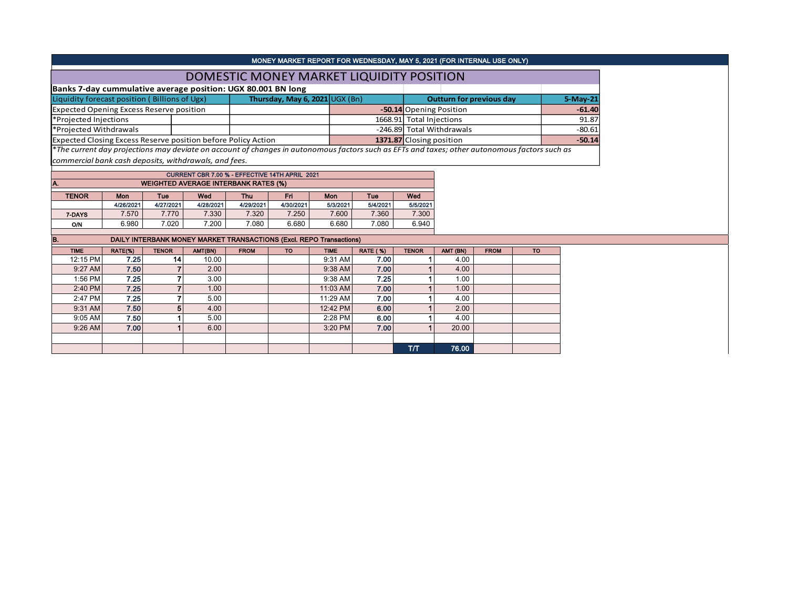|                                                               |           |            |                                                       |            |                                |          |                                          |                                | MONEY MARKET REPORT FOR WEDNESDAY, MAY 5, 2021 (FOR INTERNAL USE ONLY)                                                                        |          |  |
|---------------------------------------------------------------|-----------|------------|-------------------------------------------------------|------------|--------------------------------|----------|------------------------------------------|--------------------------------|-----------------------------------------------------------------------------------------------------------------------------------------------|----------|--|
|                                                               |           |            |                                                       |            |                                |          | DOMESTIC MONEY MARKET LIQUIDITY POSITION |                                |                                                                                                                                               |          |  |
| Banks 7-day cummulative average position: UGX 80.001 BN long  |           |            |                                                       |            |                                |          |                                          |                                |                                                                                                                                               |          |  |
| Liquidity forecast position (Billions of Ugx)                 |           |            |                                                       |            | Thursday, May 6, 2021 UGX (Bn) |          |                                          |                                | <b>Outturn for previous day</b>                                                                                                               | 5-May-21 |  |
| <b>Expected Opening Excess Reserve position</b>               |           |            |                                                       |            |                                |          |                                          | <b>-50.14</b> Opening Position | $-61.40$                                                                                                                                      |          |  |
| *Projected Injections                                         |           |            |                                                       |            |                                |          |                                          | 1668.91 Total Injections       |                                                                                                                                               | 91.87    |  |
| *Projected Withdrawals                                        |           |            |                                                       |            |                                |          |                                          |                                | -246.89 Total Withdrawals                                                                                                                     | $-80.61$ |  |
| Expected Closing Excess Reserve position before Policy Action |           |            |                                                       |            |                                |          | 1371.87 Closing position                 |                                |                                                                                                                                               |          |  |
|                                                               |           |            |                                                       |            |                                |          |                                          |                                | *The current day projections may deviate on account of changes in autonomous factors such as EFTs and taxes; other autonomous factors such as |          |  |
| commercial bank cash deposits, withdrawals, and fees.         |           |            |                                                       |            |                                |          |                                          |                                |                                                                                                                                               |          |  |
|                                                               |           |            | <b>CURRENT CBR 7.00 % - EFFECTIVE 14TH APRIL 2021</b> |            |                                |          |                                          |                                |                                                                                                                                               |          |  |
|                                                               |           |            | <b>WEIGHTED AVERAGE INTERBANK RATES (%)</b>           |            |                                |          |                                          |                                |                                                                                                                                               |          |  |
| <b>TENOR</b>                                                  | Wed       | <b>Thu</b> | Fri.                                                  | <b>Mon</b> | Tue                            | Wed      |                                          |                                |                                                                                                                                               |          |  |
|                                                               | 4/26/2021 | 4/27/2021  | 4/28/2021                                             | 4/29/2021  | 4/30/2021                      | 5/3/2021 | 5/4/2021                                 |                                | 5/5/2021                                                                                                                                      |          |  |
| 7-DAYS                                                        | 7.570     | 7.770      | 7.330                                                 | 7.320      | 7.250                          |          | 7.600<br>7.360<br>7.300                  |                                |                                                                                                                                               |          |  |
| O/N                                                           | 6.980     | 7.020      | 7.200                                                 | 7.080      | 6.680                          | 6.680    | 7.080                                    | 6.940                          |                                                                                                                                               |          |  |

| B.          |         |              |         |             |           | DAILY INTERBANK MONEY MARKET TRANSACTIONS (Excl. REPO Transactions) |                 |              |          |             |           |
|-------------|---------|--------------|---------|-------------|-----------|---------------------------------------------------------------------|-----------------|--------------|----------|-------------|-----------|
| <b>TIME</b> | RATE(%) | <b>TENOR</b> | AMT(BN) | <b>FROM</b> | <b>TO</b> | <b>TIME</b>                                                         | <b>RATE (%)</b> | <b>TENOR</b> | AMT (BN) | <b>FROM</b> | <b>TO</b> |
| 12:15 PM    | 7.25    | 14           | 10.00   |             |           | 9:31 AM                                                             | 7.00            |              | 4.00     |             |           |
| $9:27$ AM   | 7.50    |              | 2.00    |             |           | 9:38 AM                                                             | 7.00            |              | 4.00     |             |           |
| 1:56 PM     | 7.25    |              | 3.00    |             |           | 9:38 AM                                                             | 7.25            |              | 1.00     |             |           |
| 2:40 PM     | 7.25    |              | 1.00    |             |           | 11:03 AM                                                            | 7.00            |              | 1.00     |             |           |
| 2:47 PM     | 7.25    |              | 5.00    |             |           | 11:29 AM                                                            | 7.00            |              | 4.00     |             |           |
| 9:31 AM     | 7.50    | 5            | 4.00    |             |           | 12:42 PM                                                            | 6.00            |              | 2.00     |             |           |
| 9:05 AM     | 7.50    |              | 5.00    |             |           | 2:28 PM                                                             | 6.00            |              | 4.00     |             |           |
| $9:26$ AM   | 7.00    |              | 6.00    |             |           | 3:20 PM                                                             | 7.00            |              | 20.00    |             |           |
|             |         |              |         |             |           |                                                                     |                 |              |          |             |           |
|             |         |              |         |             |           |                                                                     |                 | T/T          | 76.00    |             |           |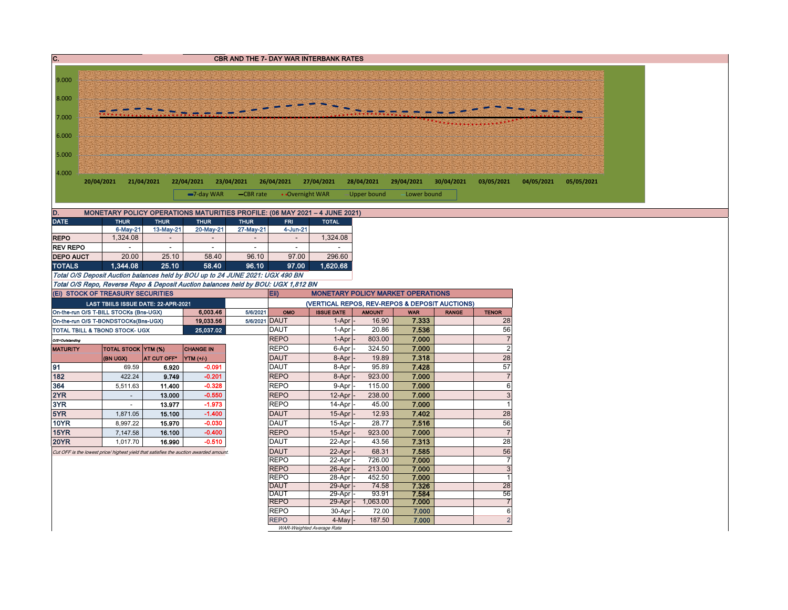| $\overline{c}$ .   |                                                                                                                        |                  |                          |               |                            | <b>CBR AND THE 7- DAY WAR INTERBANK RATES</b>                              |                   |                |              |                           |            |            |  |
|--------------------|------------------------------------------------------------------------------------------------------------------------|------------------|--------------------------|---------------|----------------------------|----------------------------------------------------------------------------|-------------------|----------------|--------------|---------------------------|------------|------------|--|
|                    |                                                                                                                        |                  |                          |               |                            |                                                                            |                   |                |              |                           |            |            |  |
| 9.000              |                                                                                                                        |                  |                          |               |                            |                                                                            |                   |                |              |                           |            |            |  |
|                    |                                                                                                                        |                  |                          |               |                            |                                                                            |                   |                |              |                           |            |            |  |
| 8.000              |                                                                                                                        |                  |                          |               |                            |                                                                            |                   |                |              |                           |            |            |  |
|                    |                                                                                                                        |                  |                          |               |                            |                                                                            |                   |                |              |                           |            |            |  |
| 7.000              |                                                                                                                        |                  |                          |               |                            |                                                                            |                   |                |              |                           |            |            |  |
|                    |                                                                                                                        |                  |                          |               |                            |                                                                            |                   |                |              |                           |            |            |  |
| 6.000              |                                                                                                                        |                  |                          |               |                            |                                                                            |                   |                |              |                           |            |            |  |
|                    |                                                                                                                        |                  |                          |               |                            |                                                                            |                   |                |              |                           |            |            |  |
| 5.000              |                                                                                                                        |                  |                          |               |                            |                                                                            |                   |                |              |                           |            |            |  |
| 4.000              |                                                                                                                        |                  |                          |               |                            |                                                                            |                   |                |              |                           |            |            |  |
|                    | 20/04/2021<br>21/04/2021                                                                                               |                  | 22/04/2021<br>23/04/2021 |               | 26/04/2021                 | 27/04/2021                                                                 | 28/04/2021        | 29/04/2021     | 30/04/2021   | 03/05/2021                | 04/05/2021 | 05/05/2021 |  |
|                    |                                                                                                                        |                  |                          |               |                            |                                                                            |                   |                |              |                           |            |            |  |
|                    |                                                                                                                        |                  | $-7$ -day WAR            | -CBR rate     | • Overnight WAR            |                                                                            | -Upper bound      | Lower bound    |              |                           |            |            |  |
| D.                 |                                                                                                                        |                  |                          |               |                            | MONETARY POLICY OPERATIONS MATURITIES PROFILE: (06 MAY 2021 - 4 JUNE 2021) |                   |                |              |                           |            |            |  |
| <b>DATE</b>        | <b>THUR</b>                                                                                                            | <b>THUR</b>      | <b>THUR</b>              | <b>THUR</b>   | <b>FRI</b>                 | <b>TOTAL</b>                                                               |                   |                |              |                           |            |            |  |
|                    | 6-May-21                                                                                                               | 13-May-21        | 20-May-21                | 27-May-21     | 4-Jun-21                   |                                                                            |                   |                |              |                           |            |            |  |
| <b>REPO</b>        | 1,324.08                                                                                                               | $\sim$           | $\sim$                   | $\sim$        | $\sim$                     | 1,324.08                                                                   |                   |                |              |                           |            |            |  |
| <b>REV REPO</b>    |                                                                                                                        | $\sim$           | $\sim$                   | $\sim$        | $\sim$                     |                                                                            |                   |                |              |                           |            |            |  |
| <b>DEPO AUCT</b>   | 20.00                                                                                                                  | 25.10            | 58.40                    | 96.10         | 97.00                      | 296.60                                                                     |                   |                |              |                           |            |            |  |
| <b>TOTALS</b>      | 1.344.08                                                                                                               | 25.10            | 58.40                    | 96.10         | 97.00                      | 1.620.68                                                                   |                   |                |              |                           |            |            |  |
|                    | Total O/S Deposit Auction balances held by BOU up to 24 JUNE 2021: UGX 490 BN                                          |                  |                          |               |                            |                                                                            |                   |                |              |                           |            |            |  |
|                    | Total O/S Repo, Reverse Repo & Deposit Auction balances held by BOU: UGX 1,812 BN<br>(Ei) STOCK OF TREASURY SECURITIES |                  |                          |               | Eii)                       | <b>MONETARY POLICY MARKET OPERATIONS</b>                                   |                   |                |              |                           |            |            |  |
|                    | LAST TBIILS ISSUE DATE: 22-APR-2021                                                                                    |                  |                          |               |                            | (VERTICAL REPOS, REV-REPOS & DEPOSIT AUCTIONS)                             |                   |                |              |                           |            |            |  |
|                    | On-the-run O/S T-BILL STOCKs (Bns-UGX)                                                                                 |                  | 6,003.46                 | 5/6/2021      | OMO                        | <b>ISSUE DATE</b>                                                          | <b>AMOUNT</b>     | <b>WAR</b>     | <b>RANGE</b> | <b>TENOR</b>              |            |            |  |
|                    | On-the-run O/S T-BONDSTOCKs(Bns-UGX)                                                                                   |                  | 19,033.56                | 5/6/2021 DAUT |                            | 1-Apr                                                                      | 16.90             | 7.333          |              | 28                        |            |            |  |
|                    | TOTAL TBILL & TBOND STOCK- UGX                                                                                         |                  | 25,037.02                |               | <b>DAUT</b>                | 1-Apr                                                                      | 20.86             | 7.536          |              | 56                        |            |            |  |
| O/S=Outstanding    |                                                                                                                        |                  |                          |               | <b>REPO</b>                | 1-Apr                                                                      | 803.00            | 7.000          |              | $\sqrt{7}$                |            |            |  |
| <b>MATURITY</b>    | <b>TOTAL STOCK YTM (%)</b>                                                                                             |                  | <b>CHANGE IN</b>         |               | <b>REPO</b>                | 6-Apr                                                                      | 324.50            | 7.000          |              | $\overline{2}$            |            |            |  |
|                    | (BN UGX)                                                                                                               | AT CUT OFF*      | YTM (+/-)                |               | <b>DAUT</b>                | 8-Apr                                                                      | 19.89             | 7.318          |              | 28                        |            |            |  |
| 91                 | 69.59                                                                                                                  | 6.920            | $-0.091$                 |               | <b>DAUT</b>                | 8-Apr                                                                      | 95.89             | 7.428          |              | 57                        |            |            |  |
| 182                | 422.24                                                                                                                 | 9.749            | $-0.201$                 |               | <b>REPO</b>                | 8-Apr                                                                      | 923.00            | 7.000          |              | $\overline{\mathcal{I}}$  |            |            |  |
| 364                | 5,511.63                                                                                                               | 11.400           | $-0.328$                 |               | <b>REPO</b>                | 9-Apr                                                                      | 115.00            | 7.000          |              | 6                         |            |            |  |
| 2YR                | $\omega$                                                                                                               | 13.000           | $-0.550$                 |               | <b>REPO</b>                | 12-Apr                                                                     | 238.00            | 7.000          |              | $\mathsf 3$               |            |            |  |
| 3YR                | $\sim$                                                                                                                 | 13.977           | $-1.973$                 |               | <b>REPO</b>                | 14-Apr                                                                     | 45.00             | 7.000          |              | $\mathbf{1}$              |            |            |  |
| 5YR<br><b>10YR</b> | 1,871.05<br>8,997.22                                                                                                   | 15.100<br>15.970 | $-1.400$<br>$-0.030$     |               | <b>DAUT</b><br><b>DAUT</b> | 15-Apr<br>15-Apr                                                           | 12.93<br>28.77    | 7.402<br>7.516 |              | 28<br>56                  |            |            |  |
| 15YR               | 7,147.58                                                                                                               | 16.100           | $-0.400$                 |               | <b>REPO</b>                | 15-Apr                                                                     | 923.00            | 7.000          |              | $\overline{7}$            |            |            |  |
| <b>20YR</b>        | 1,017.70                                                                                                               | 16.990           | $-0.510$                 |               | <b>DAUT</b>                | 22-Apr                                                                     | 43.56             | 7.313          |              | 28                        |            |            |  |
|                    | Cut OFF is the lowest price/ highest yield that satisfies the auction awarded amount                                   |                  |                          |               | <b>DAUT</b>                | 22-Apr                                                                     | 68.31             | 7.585          |              | 56                        |            |            |  |
|                    |                                                                                                                        |                  |                          |               | <b>REPO</b>                | 22-Apr                                                                     | 726.00            | 7.000          |              | $\overline{7}$            |            |            |  |
|                    |                                                                                                                        |                  |                          |               | <b>REPO</b>                | 26-Apr                                                                     | 213.00            | 7.000          |              | $\overline{3}$            |            |            |  |
|                    |                                                                                                                        |                  |                          |               | <b>REPO</b>                | 28-Apr                                                                     | 452.50            | 7.000          |              | $\mathbf{1}$              |            |            |  |
|                    |                                                                                                                        |                  |                          |               | <b>DAUT</b>                | 29-Apr                                                                     | 74.58             | 7.326          |              | $\overline{28}$           |            |            |  |
|                    |                                                                                                                        |                  |                          |               | <b>DAUT</b>                | 29-Apr                                                                     | 93.91             | 7.584          |              | 56                        |            |            |  |
|                    |                                                                                                                        |                  |                          |               | <b>REPO</b><br><b>REPO</b> | 29-Apr<br>30-Apr                                                           | 1,063.00<br>72.00 | 7.000<br>7.000 |              | $\overline{7}$<br>$\,6\,$ |            |            |  |
|                    |                                                                                                                        |                  |                          |               | <b>REPO</b>                | 4-May                                                                      | 187.50            | 7.000          |              | $\overline{2}$            |            |            |  |
|                    |                                                                                                                        |                  |                          |               |                            | WAR-Weighted Average Rate                                                  |                   |                |              |                           |            |            |  |
|                    |                                                                                                                        |                  |                          |               |                            |                                                                            |                   |                |              |                           |            |            |  |